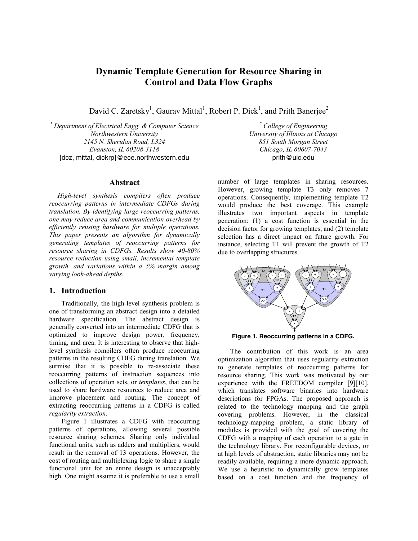# **Dynamic Template Generation for Resource Sharing in Control and Data Flow Graphs**

David C. Zaretsky<sup>1</sup>, Gaurav Mittal<sup>1</sup>, Robert P. Dick<sup>1</sup>, and Prith Banerjee<sup>2</sup>

*1 Department of Electrical Engg. & Computer Science Northwestern University 2145 N. Sheridan Road, L324 Evanston, IL 60208-3118*  {dcz, mittal, dickrp}@ece.northwestern.edu

### **Abstract**

*High-level synthesis compilers often produce reoccurring patterns in intermediate CDFGs during translation. By identifying large reoccurring patterns, one may reduce area and communication overhead by efficiently reusing hardware for multiple operations. This paper presents an algorithm for dynamically generating templates of reoccurring patterns for resource sharing in CDFGs. Results show 40-80% resource reduction using small, incremental template growth, and variations within a 5% margin among varying look-ahead depths.* 

# **1. Introduction**

Traditionally, the high-level synthesis problem is one of transforming an abstract design into a detailed hardware specification. The abstract design is generally converted into an intermediate CDFG that is optimized to improve design power, frequency, timing, and area. It is interesting to observe that highlevel synthesis compilers often produce reoccurring patterns in the resulting CDFG during translation. We surmise that it is possible to re-associate these reoccurring patterns of instruction sequences into collections of operation sets, or *templates*, that can be used to share hardware resources to reduce area and improve placement and routing. The concept of extracting reoccurring patterns in a CDFG is called *regularity extraction*.

Figure 1 illustrates a CDFG with reoccurring patterns of operations, allowing several possible resource sharing schemes. Sharing only individual functional units, such as adders and multipliers, would result in the removal of 13 operations. However, the cost of routing and multiplexing logic to share a single functional unit for an entire design is unacceptably high. One might assume it is preferable to use a small

*2 College of Engineering University of Illinois at Chicago 851 South Morgan Street Chicago, IL 60607-7043*  prith@uic.edu

number of large templates in sharing resources. However, growing template T3 only removes 7 operations. Consequently, implementing template T2 would produce the best coverage. This example illustrates two important aspects in template generation: (1) a cost function is essential in the decision factor for growing templates, and (2) template selection has a direct impact on future growth. For instance, selecting T1 will prevent the growth of T2 due to overlapping structures.





The contribution of this work is an area optimization algorithm that uses regularity extraction to generate templates of reoccurring patterns for resource sharing. This work was motivated by our experience with the FREEDOM compiler [9][10], which translates software binaries into hardware descriptions for FPGAs. The proposed approach is related to the technology mapping and the graph covering problems. However, in the classical technology-mapping problem, a static library of modules is provided with the goal of covering the CDFG with a mapping of each operation to a gate in the technology library. For reconfigurable devices, or at high levels of abstraction, static libraries may not be readily available, requiring a more dynamic approach. We use a heuristic to dynamically grow templates based on a cost function and the frequency of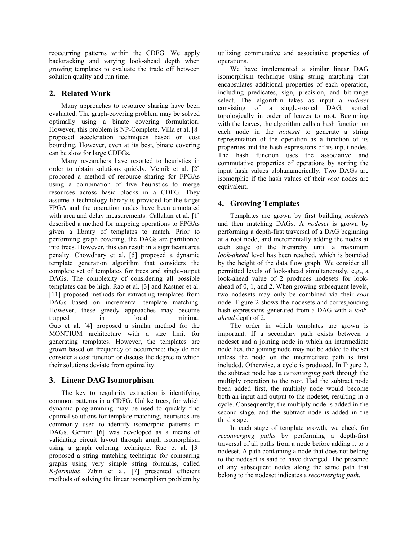reoccurring patterns within the CDFG. We apply backtracking and varying look-ahead depth when growing templates to evaluate the trade off between solution quality and run time.

# **2. Related Work**

Many approaches to resource sharing have been evaluated. The graph-covering problem may be solved optimally using a binate covering formulation. However, this problem is NP-Complete. Villa et al. [8] proposed acceleration techniques based on cost bounding. However, even at its best, binate covering can be slow for large CDFGs.

Many researchers have resorted to heuristics in order to obtain solutions quickly. Memik et al. [2] proposed a method of resource sharing for FPGAs using a combination of five heuristics to merge resources across basic blocks in a CDFG. They assume a technology library is provided for the target FPGA and the operation nodes have been annotated with area and delay measurements. Callahan et al. [1] described a method for mapping operations to FPGAs given a library of templates to match. Prior to performing graph covering, the DAGs are partitioned into trees. However, this can result in a significant area penalty. Chowdhary et al. [5] proposed a dynamic template generation algorithm that considers the complete set of templates for trees and single-output DAGs. The complexity of considering all possible templates can be high. Rao et al. [3] and Kastner et al. [11] proposed methods for extracting templates from DAGs based on incremental template matching. However, these greedy approaches may become trapped in local minima. Guo et al. [4] proposed a similar method for the MONTIUM architecture with a size limit for generating templates. However, the templates are grown based on frequency of occurrence; they do not consider a cost function or discuss the degree to which their solutions deviate from optimality.

# **3. Linear DAG Isomorphism**

The key to regularity extraction is identifying common patterns in a CDFG. Unlike trees, for which dynamic programming may be used to quickly find optimal solutions for template matching, heuristics are commonly used to identify isomorphic patterns in DAGs. Gemini [6] was developed as a means of validating circuit layout through graph isomorphism using a graph coloring technique. Rao et al. [3] proposed a string matching technique for comparing graphs using very simple string formulas, called *K-formulas*. Zibin et al. [7] presented efficient methods of solving the linear isomorphism problem by utilizing commutative and associative properties of operations.

We have implemented a similar linear DAG isomorphism technique using string matching that encapsulates additional properties of each operation, including predicates, sign, precision, and bit-range select. The algorithm takes as input a *nodeset* consisting of a single-rooted DAG, sorted topologically in order of leaves to root. Beginning with the leaves, the algorithm calls a hash function on each node in the *nodeset* to generate a string representation of the operation as a function of its properties and the hash expressions of its input nodes. The hash function uses the associative and commutative properties of operations by sorting the input hash values alphanumerically. Two DAGs are isomorphic if the hash values of their *root* nodes are equivalent.

# **4. Growing Templates**

Templates are grown by first building *nodesets* and then matching DAGs. A *nodeset* is grown by performing a depth-first traversal of a DAG beginning at a root node, and incrementally adding the nodes at each stage of the hierarchy until a maximum *look-ahead* level has been reached, which is bounded by the height of the data flow graph. We consider all permitted levels of look-ahead simultaneously, e.g., a look-ahead value of 2 produces nodesets for lookahead of 0, 1, and 2. When growing subsequent levels, two nodesets may only be combined via their *root* node. Figure 2 shows the nodesets and corresponding hash expressions generated from a DAG with a *lookahead* depth of 2.

The order in which templates are grown is important. If a secondary path exists between a nodeset and a joining node in which an intermediate node lies, the joining node may not be added to the set unless the node on the intermediate path is first included. Otherwise, a cycle is produced. In Figure 2, the subtract node has a *reconverging path* through the multiply operation to the root. Had the subtract node been added first, the multiply node would become both an input and output to the nodeset, resulting in a cycle. Consequently, the multiply node is added in the second stage, and the subtract node is added in the third stage.

In each stage of template growth, we check for *reconverging paths* by performing a depth-first traversal of all paths from a node before adding it to a nodeset. A path containing a node that does not belong to the nodeset is said to have diverged. The presence of any subsequent nodes along the same path that belong to the nodeset indicates a *reconverging path*.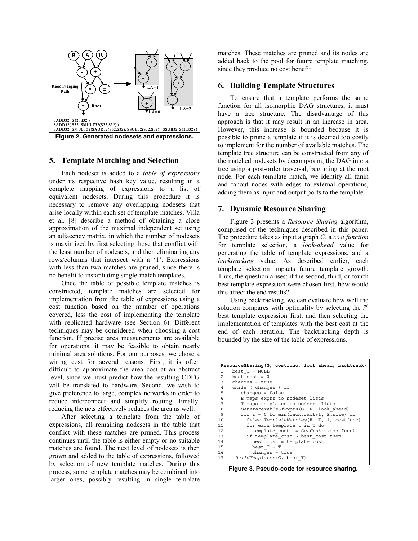

**Figure 2. Generated nodesets and expressions.** 

## **5. Template Matching and Selection**

Each nodeset is added to a *table of expressions* under its respective hash key value, resulting in a complete mapping of expressions to a list of equivalent nodesets. During this procedure it is necessary to remove any overlapping nodesets that arise locally within each set of template matches. Villa et al. [8] describe a method of obtaining a close approximation of the maximal independent set using an adjacency matrix, in which the number of nodesets is maximized by first selecting those that conflict with the least number of nodesets, and then eliminating any rows/columns that intersect with a '1'. Expressions with less than two matches are pruned, since there is no benefit to instantiating single-match templates.

Once the table of possible template matches is constructed, template matches are selected for implementation from the table of expressions using a cost function based on the number of operations covered, less the cost of implementing the template with replicated hardware (see Section 6). Different techniques may be considered when choosing a cost function. If precise area measurements are available for operations, it may be feasible to obtain nearly minimal area solutions. For our purposes, we chose a wiring cost for several reasons. First, it is often difficult to approximate the area cost at an abstract level, since we must predict how the resulting CDFG will be translated to hardware. Second, we wish to give preference to large, complex networks in order to reduce interconnect and simplify routing. Finally, reducing the nets effectively reduces the area as well.

After selecting a template from the table of expressions, all remaining nodesets in the table that conflict with these matches are pruned. This process continues until the table is either empty or no suitable matches are found. The next level of nodesets is then grown and added to the table of expressions, followed by selection of new template matches. During this process, some template matches may be combined into larger ones, possibly resulting in single template matches. These matches are pruned and its nodes are added back to the pool for future template matching, since they produce no cost benefit

### **6. Building Template Structures**

To ensure that a template performs the same function for all isomorphic DAG structures, it must have a tree structure. The disadvantage of this approach is that it may result in an increase in area. However, this increase is bounded because it is possible to prune a template if it is deemed too costly to implement for the number of available matches. The template tree structure can be constructed from any of the matched nodesets by decomposing the DAG into a tree using a post-order traversal, beginning at the root node. For each template match, we identify all fanin and fanout nodes with edges to external operations, adding them as input and output ports to the template.

#### **7. Dynamic Resource Sharing**

Figure 3 presents a *Resource Sharing* algorithm, comprised of the techniques described in this paper. The procedure takes as input a graph *G*, a *cost function* for template selection, a *look-ahead* value for generating the table of template expressions, and a *backtracking* value. As described earlier, each template selection impacts future template growth. Thus, the question arises: if the second, third, or fourth best template expression were chosen first, how would this affect the end results?

Using backtracking, we can evaluate how well the solution compares with optimality by selecting the *i th* best template expression first, and then selecting the implementation of templates with the best cost at the end of each iteration. The backtracking depth is bounded by the size of the table of expressions.

|                | ResourceSharing(G, costfunc, look ahead, backtrack) |  |  |  |  |  |  |  |  |  |  |  |
|----------------|-----------------------------------------------------|--|--|--|--|--|--|--|--|--|--|--|
| $\mathbf{1}$   | $best$ T = NULL                                     |  |  |  |  |  |  |  |  |  |  |  |
| $2^{\circ}$    | best $cost = 0$                                     |  |  |  |  |  |  |  |  |  |  |  |
| $\overline{3}$ | changes = $true$                                    |  |  |  |  |  |  |  |  |  |  |  |
| $\overline{4}$ | while ( changes ) do                                |  |  |  |  |  |  |  |  |  |  |  |
| 5              | changes = $false$                                   |  |  |  |  |  |  |  |  |  |  |  |
| 6              | E maps exprs to nodeset lists                       |  |  |  |  |  |  |  |  |  |  |  |
| 7              | T maps templates to nodeset lists                   |  |  |  |  |  |  |  |  |  |  |  |
| 8              | GenerateTableOfExprs(G, E, look ahead)              |  |  |  |  |  |  |  |  |  |  |  |
| 9              | for $i = 0$ to min(backtrack+1, E.size) do          |  |  |  |  |  |  |  |  |  |  |  |
| 10             | $SelectTemplate Matches(E, T, i, costfunc)$         |  |  |  |  |  |  |  |  |  |  |  |
| 11             | for each template t in T do                         |  |  |  |  |  |  |  |  |  |  |  |
| 12             | template cost += GetCost(t, costfunc)               |  |  |  |  |  |  |  |  |  |  |  |
| 13             | if template cost > best cost then                   |  |  |  |  |  |  |  |  |  |  |  |
| 14             | best cost = template cost                           |  |  |  |  |  |  |  |  |  |  |  |
| 15             | $best T = T$                                        |  |  |  |  |  |  |  |  |  |  |  |
| 16             | changes = $true$                                    |  |  |  |  |  |  |  |  |  |  |  |
| 17             | BuildTemplates(G, best T)                           |  |  |  |  |  |  |  |  |  |  |  |

**Figure 3. Pseudo-code for resource sharing.**